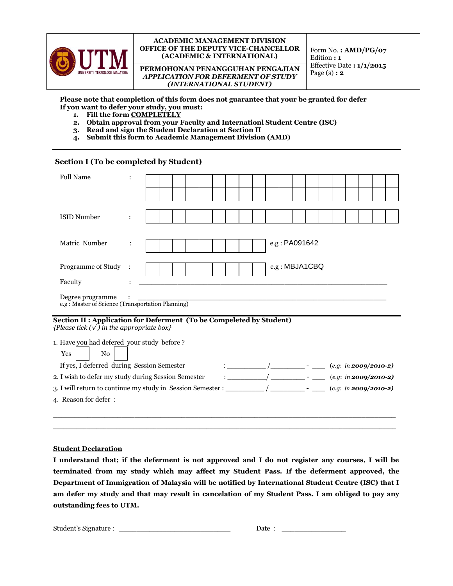

## **ACADEMIC MANAGEMENT DIVISION OFFICE OF THE DEPUTY VICE-CHANCELLOR (ACADEMIC & INTERNATIONAL)**

**PERMOHONAN PENANGGUHAN PENGAJIAN** *APPLICATION FOR DEFERMENT OF STUDY (INTERNATIONAL STUDENT)*

Form No. **: AMD/PG/07** Edition **: 1** Effective Date **: 1/1/2015** Page (s) **: 2**

**Please note that completion of this form does not guarantee that your be granted for defer If you want to defer your study, you must:**

- **1. Fill the form COMPLETELY**
- **2. Obtain approval from your Faculty and Internationl Student Centre (ISC)**
- **3. Read and sign the Student Declaration at Section II**
- **4. Submit this form to Academic Management Division (AMD)**

## **Section I (To be completed by Student)**

| <b>Full Name</b>                                                                                                         |   |  |  |  |  |                                                                                                                                                                                                                                                                                               |  |  |  |                         |  |               |  |  |  |  |
|--------------------------------------------------------------------------------------------------------------------------|---|--|--|--|--|-----------------------------------------------------------------------------------------------------------------------------------------------------------------------------------------------------------------------------------------------------------------------------------------------|--|--|--|-------------------------|--|---------------|--|--|--|--|
|                                                                                                                          |   |  |  |  |  |                                                                                                                                                                                                                                                                                               |  |  |  |                         |  |               |  |  |  |  |
| <b>ISID Number</b>                                                                                                       |   |  |  |  |  |                                                                                                                                                                                                                                                                                               |  |  |  |                         |  |               |  |  |  |  |
| Matric Number                                                                                                            |   |  |  |  |  |                                                                                                                                                                                                                                                                                               |  |  |  |                         |  | e.g: PA091642 |  |  |  |  |
| Programme of Study                                                                                                       | : |  |  |  |  |                                                                                                                                                                                                                                                                                               |  |  |  |                         |  | e.g: MBJA1CBQ |  |  |  |  |
| Faculty                                                                                                                  |   |  |  |  |  |                                                                                                                                                                                                                                                                                               |  |  |  |                         |  |               |  |  |  |  |
| Degree programme<br>e.g: Master of Science (Transportation Planning)                                                     |   |  |  |  |  |                                                                                                                                                                                                                                                                                               |  |  |  |                         |  |               |  |  |  |  |
| Section II : Application for Deferment (To be Compeleted by Student)<br>{Please tick $(\sqrt{})$ in the appropriate box} |   |  |  |  |  |                                                                                                                                                                                                                                                                                               |  |  |  |                         |  |               |  |  |  |  |
| 1. Have you had defered your study before?<br>Yes<br>No                                                                  |   |  |  |  |  |                                                                                                                                                                                                                                                                                               |  |  |  |                         |  |               |  |  |  |  |
| If yes, I deferred during Session Semester                                                                               |   |  |  |  |  | $\mathbf{r}$ . The contract of $\mathbf{r}$ and $\mathbf{r}$ and $\mathbf{r}$ and $\mathbf{r}$ are $\mathbf{r}$ and $\mathbf{r}$ and $\mathbf{r}$ are $\mathbf{r}$ and $\mathbf{r}$ and $\mathbf{r}$ are $\mathbf{r}$ and $\mathbf{r}$ are $\mathbf{r}$ and $\mathbf{r}$ and $\mathbf{r}$ are |  |  |  | $(e.g. in 2009/2010-2)$ |  |               |  |  |  |  |
| 2. I wish to defer my study during Session Semester                                                                      |   |  |  |  |  | $\sqrt{2}$                                                                                                                                                                                                                                                                                    |  |  |  | $(e.g. in 2009/2010-2)$ |  |               |  |  |  |  |
| $(e.g. in 2009/2010-2)$                                                                                                  |   |  |  |  |  |                                                                                                                                                                                                                                                                                               |  |  |  |                         |  |               |  |  |  |  |
| 4. Reason for defer:                                                                                                     |   |  |  |  |  |                                                                                                                                                                                                                                                                                               |  |  |  |                         |  |               |  |  |  |  |

## **Student Declaration**

**I understand that; if the deferment is not approved and I do not register any courses, I will be terminated from my study which may affect my Student Pass. If the deferment approved, the Department of Immigration of Malaysia will be notified by International Student Centre (ISC) that I am defer my study and that may result in cancelation of my Student Pass. I am obliged to pay any outstanding fees to UTM.**

\_\_\_\_\_\_\_\_\_\_\_\_\_\_\_\_\_\_\_\_\_\_\_\_\_\_\_\_\_\_\_\_\_\_\_\_\_\_\_\_\_\_\_\_\_\_\_\_\_\_\_\_\_\_\_\_\_\_\_\_\_\_\_\_\_\_\_\_\_\_\_\_\_\_\_\_\_\_\_\_ \_\_\_\_\_\_\_\_\_\_\_\_\_\_\_\_\_\_\_\_\_\_\_\_\_\_\_\_\_\_\_\_\_\_\_\_\_\_\_\_\_\_\_\_\_\_\_\_\_\_\_\_\_\_\_\_\_\_\_\_\_\_\_\_\_\_\_\_\_\_\_\_\_\_\_\_\_\_\_\_\_\_\_\_\_\_\_\_\_\_\_\_\_\_\_\_\_\_\_\_\_\_\_

Student's Signature : \_\_\_\_\_\_\_\_\_\_\_\_\_\_\_\_\_\_\_\_\_\_\_\_\_\_ Date : \_\_\_\_\_\_\_\_\_\_\_\_\_\_\_